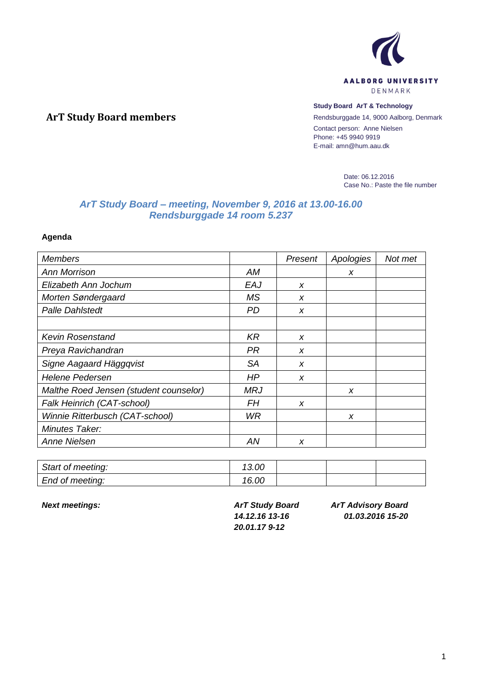

## **Study Board ArT & Technology**

Rendsburggade 14, 9000 Aalborg, Denmark Contact person: Anne Nielsen Phone: +45 9940 9919 E-mail: amn@hum.aau.dk

> Date: 06.12.2016 Case No.: Paste the file number

# *ArT Study Board – meeting, November 9, 2016 at 13.00-16.00 Rendsburggade 14 room 5.237*

**Agenda**

**ArT Study Board members**

| <b>Members</b>                         |            | Present | Apologies | Not met |
|----------------------------------------|------------|---------|-----------|---------|
| <b>Ann Morrison</b>                    | AM         |         | X         |         |
| Elizabeth Ann Jochum                   | EAJ        | X       |           |         |
| Morten Søndergaard                     | MS.        | X       |           |         |
| <b>Palle Dahlstedt</b>                 | <b>PD</b>  | X       |           |         |
|                                        |            |         |           |         |
| <b>Kevin Rosenstand</b>                | KR         | X       |           |         |
| Preya Ravichandran                     | PR         | X       |           |         |
| Signe Aagaard Häggqvist                | <b>SA</b>  | X       |           |         |
| <b>Helene Pedersen</b>                 | HP         | X       |           |         |
| Malthe Roed Jensen (student counselor) | <b>MRJ</b> |         | X         |         |
| Falk Heinrich (CAT-school)             | FΗ         | X       |           |         |
| Winnie Ritterbusch (CAT-school)        | WR.        |         | X         |         |
| Minutes Taker:                         |            |         |           |         |
| <b>Anne Nielsen</b>                    | ΑN         | X       |           |         |

| Start of meeting: | 13.00 |  |  |
|-------------------|-------|--|--|
| End of meeting:   | 16.00 |  |  |

*Next meetings: ArT Study Board 14.12.16 13-16 20.01.17 9-12*

*ArT Advisory Board 01.03.2016 15-20*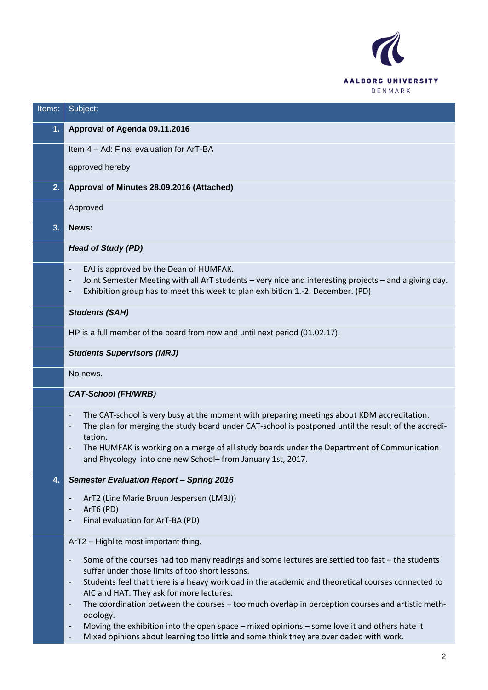

| Items: | Subject:                                                                                                                                                                                                                                                                                                                                                                                                                                                        |
|--------|-----------------------------------------------------------------------------------------------------------------------------------------------------------------------------------------------------------------------------------------------------------------------------------------------------------------------------------------------------------------------------------------------------------------------------------------------------------------|
| 1.     | Approval of Agenda 09.11.2016                                                                                                                                                                                                                                                                                                                                                                                                                                   |
|        | Item 4 - Ad: Final evaluation for ArT-BA                                                                                                                                                                                                                                                                                                                                                                                                                        |
|        | approved hereby                                                                                                                                                                                                                                                                                                                                                                                                                                                 |
| 2.     | Approval of Minutes 28.09.2016 (Attached)                                                                                                                                                                                                                                                                                                                                                                                                                       |
|        | Approved                                                                                                                                                                                                                                                                                                                                                                                                                                                        |
| 3.     | News:                                                                                                                                                                                                                                                                                                                                                                                                                                                           |
|        | <b>Head of Study (PD)</b>                                                                                                                                                                                                                                                                                                                                                                                                                                       |
|        | EAJ is approved by the Dean of HUMFAK.<br>$\overline{\phantom{a}}$<br>Joint Semester Meeting with all ArT students - very nice and interesting projects - and a giving day.<br>$\overline{\phantom{a}}$<br>Exhibition group has to meet this week to plan exhibition 1.-2. December. (PD)<br>$\overline{\phantom{a}}$                                                                                                                                           |
|        | <b>Students (SAH)</b>                                                                                                                                                                                                                                                                                                                                                                                                                                           |
|        | HP is a full member of the board from now and until next period (01.02.17).                                                                                                                                                                                                                                                                                                                                                                                     |
|        | <b>Students Supervisors (MRJ)</b>                                                                                                                                                                                                                                                                                                                                                                                                                               |
|        | No news.                                                                                                                                                                                                                                                                                                                                                                                                                                                        |
|        | <b>CAT-School (FH/WRB)</b>                                                                                                                                                                                                                                                                                                                                                                                                                                      |
|        | The CAT-school is very busy at the moment with preparing meetings about KDM accreditation.<br>$\overline{\phantom{a}}$<br>The plan for merging the study board under CAT-school is postponed until the result of the accredi-<br>$\qquad \qquad \blacksquare$<br>tation.<br>The HUMFAK is working on a merge of all study boards under the Department of Communication<br>$\overline{\phantom{a}}$<br>and Phycology into one new School-from January 1st, 2017. |
| 4.     | <b>Semester Evaluation Report - Spring 2016</b>                                                                                                                                                                                                                                                                                                                                                                                                                 |
|        | ArT2 (Line Marie Bruun Jespersen (LMBJ))<br>$\qquad \qquad \blacksquare$<br>ArT6 (PD)<br>$\overline{\phantom{a}}$                                                                                                                                                                                                                                                                                                                                               |
|        | Final evaluation for ArT-BA (PD)<br>$\overline{\phantom{a}}$                                                                                                                                                                                                                                                                                                                                                                                                    |
|        | ArT2 - Highlite most important thing.                                                                                                                                                                                                                                                                                                                                                                                                                           |
|        | Some of the courses had too many readings and some lectures are settled too fast - the students<br>-<br>suffer under those limits of too short lessons.<br>Students feel that there is a heavy workload in the academic and theoretical courses connected to<br>$\overline{\phantom{a}}$                                                                                                                                                                        |
|        | AIC and HAT. They ask for more lectures.                                                                                                                                                                                                                                                                                                                                                                                                                        |
|        | The coordination between the courses - too much overlap in perception courses and artistic meth-<br>$\overline{\phantom{a}}$<br>odology.                                                                                                                                                                                                                                                                                                                        |
|        | Moving the exhibition into the open space - mixed opinions - some love it and others hate it<br>-<br>Mixed opinions about learning too little and some think they are overloaded with work.<br>-                                                                                                                                                                                                                                                                |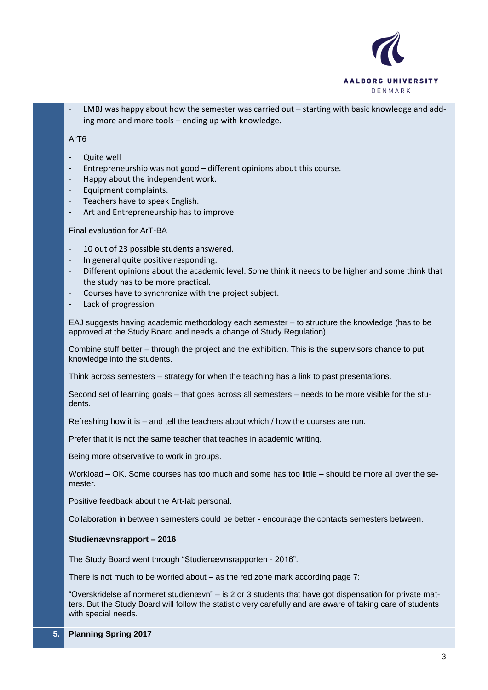

LMBJ was happy about how the semester was carried out – starting with basic knowledge and adding more and more tools – ending up with knowledge.

# ArT6

- Quite well
- Entrepreneurship was not good different opinions about this course.
- Happy about the independent work.
- Equipment complaints.
- Teachers have to speak English.
- Art and Entrepreneurship has to improve.

Final evaluation for ArT-BA

- 10 out of 23 possible students answered.
- In general quite positive responding.
- Different opinions about the academic level. Some think it needs to be higher and some think that the study has to be more practical.
- Courses have to synchronize with the project subject.
- Lack of progression

EAJ suggests having academic methodology each semester – to structure the knowledge (has to be approved at the Study Board and needs a change of Study Regulation).

Combine stuff better – through the project and the exhibition. This is the supervisors chance to put knowledge into the students.

Think across semesters – strategy for when the teaching has a link to past presentations.

Second set of learning goals – that goes across all semesters – needs to be more visible for the students.

Refreshing how it is – and tell the teachers about which / how the courses are run.

Prefer that it is not the same teacher that teaches in academic writing.

Being more observative to work in groups.

Workload – OK. Some courses has too much and some has too little – should be more all over the semester.

Positive feedback about the Art-lab personal.

Collaboration in between semesters could be better - encourage the contacts semesters between.

#### **Studienævnsrapport – 2016**

The Study Board went through "Studienævnsrapporten - 2016".

There is not much to be worried about – as the red zone mark according page 7:

"Overskridelse af normeret studienævn" – is 2 or 3 students that have got dispensation for private matters. But the Study Board will follow the statistic very carefully and are aware of taking care of students with special needs.

**5. Planning Spring 2017**